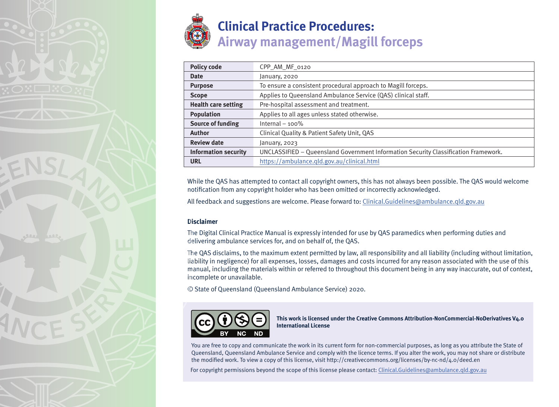

| <b>Policy code</b>          | CPP_AM_MF_0120                                                                      |
|-----------------------------|-------------------------------------------------------------------------------------|
| <b>Date</b>                 | January, 2020                                                                       |
| <b>Purpose</b>              | To ensure a consistent procedural approach to Magill forceps.                       |
| <b>Scope</b>                | Applies to Queensland Ambulance Service (QAS) clinical staff.                       |
| <b>Health care setting</b>  | Pre-hospital assessment and treatment.                                              |
| <b>Population</b>           | Applies to all ages unless stated otherwise.                                        |
| <b>Source of funding</b>    | Internal $-100\%$                                                                   |
| <b>Author</b>               | Clinical Quality & Patient Safety Unit, QAS                                         |
| <b>Review date</b>          | January, 2023                                                                       |
| <b>Information security</b> | UNCLASSIFIED - Queensland Government Information Security Classification Framework. |
| <b>URL</b>                  | https://ambulance.qld.gov.au/clinical.html                                          |

While the QAS has attempted to contact all copyright owners, this has not always been possible. The QAS would welcome notification from any copyright holder who has been omitted or incorrectly acknowledged.

All feedback and suggestions are welcome. Please forward to: Clinical.Guidelines@ambulance.qld.gov.au

## **Disclaimer**

The Digital Clinical Practice Manual is expressly intended for use by QAS paramedics when performing duties and delivering ambulance services for, and on behalf of, the QAS.

The QAS disclaims, to the maximum extent permitted by law, all responsibility and all liability (including without limitation, liability in negligence) for all expenses, losses, damages and costs incurred for any reason associated with the use of this manual, including the materials within or referred to throughout this document being in any way inaccurate, out of context, incomplete or unavailable.

© State of Queensland (Queensland Ambulance Service) 2020.



**This work is licensed under the Creative Commons Attribution-NonCommercial-NoDerivatives V4.0 International License**

You are free to copy and communicate the work in its current form for non-commercial purposes, as long as you attribute the State of Queensland, Queensland Ambulance Service and comply with the licence terms. If you alter the work, you may not share or distribute the modified work. To view a copy of this license, visit http://creativecommons.org/licenses/by-nc-nd/4.0/deed.en

For copyright permissions beyond the scope of this license please contact: Clinical.Guidelines@ambulance.qld.gov.au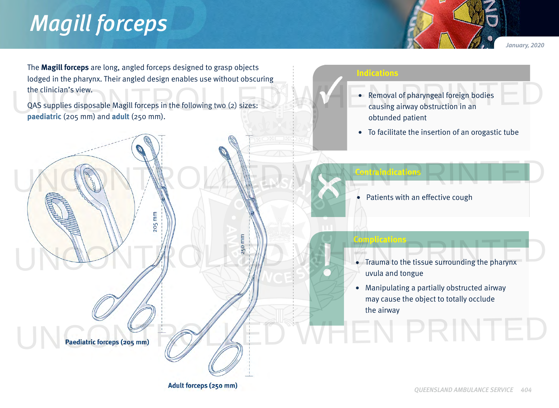## *Magill forceps*

*January, 2020*

The **Magill forceps** are long, angled forceps designed to grasp objects lodged in the pharynx. Their angled design enables use without obscuring the clinician's view. The clinician's view.<br>QAS supplies disposable Magill forceps in the following two (2) sizes:<br>QAS supplies disposable Magill forceps in the following two (2) sizes:<br>
exams airway obstruction in an

 $205$  mm

QAS supplies disposable Magill forceps in the following two (2) sizes: **paediatric** (205 mm) and **adult** (250 mm).

## **Indications**

 **Contraindications**

WOONTROLLED WATERING

 **Complications**

- Removal of pharyngeal foreign bodies causing airway obstruction in an obtunded patient
- To facilitate the insertion of an orogastic tube

Patients with an effective cough

• Trauma to the tissue surrounding the pharynx uvula and tongue UNCONTROLLED WAS ARRESTED FOR Trauma to the tissue surrounding the pharynx

> • Manipulating a partially obstructed airway may cause the object to totally occlude the airway

Paediatric forceps (205 mm)

Adult forceps (250 mm)